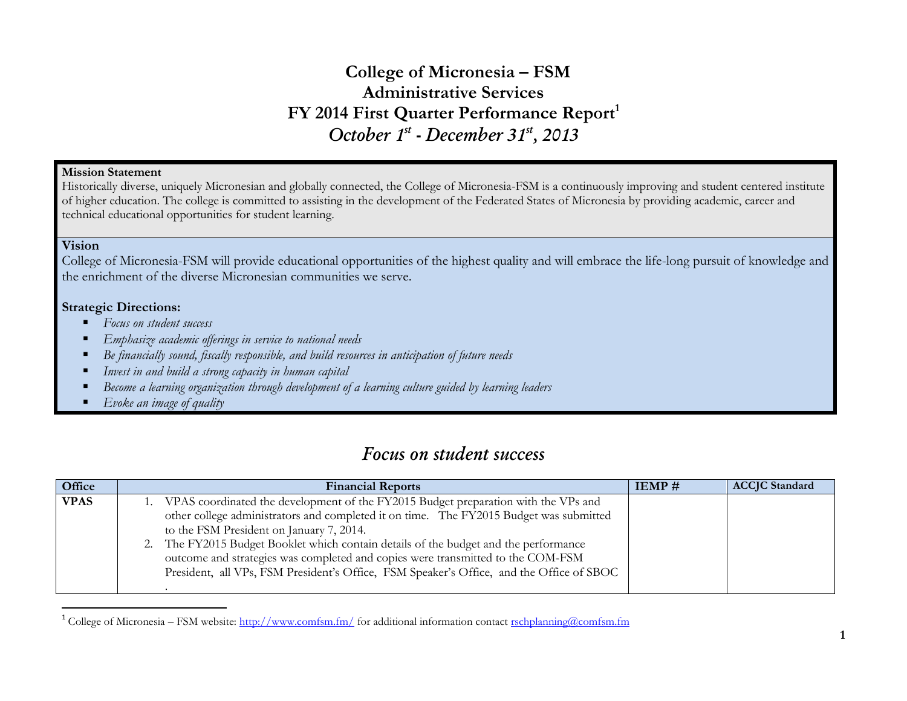## **College of Micronesia – FSM Administrative Services FY 2014 First Quarter Performance Report<sup>1</sup>** *October 1st - December 31st, 2013*

#### **Mission Statement**

Historically diverse, uniquely Micronesian and globally connected, the College of Micronesia-FSM is a continuously improving and student centered institute of higher education. The college is committed to assisting in the development of the Federated States of Micronesia by providing academic, career and technical educational opportunities for student learning.

### **Vision**

 $\overline{a}$ 

College of Micronesia-FSM will provide educational opportunities of the highest quality and will embrace the life-long pursuit of knowledge and the enrichment of the diverse Micronesian communities we serve.

### **Strategic Directions:**

- *Focus on student success*
- *Emphasize academic offerings in service to national needs*
- *Be financially sound, fiscally responsible, and build resources in anticipation of future needs*
- *Invest in and build a strong capacity in human capital*
- *Become a learning organization through development of a learning culture guided by learning leaders*
- *Evoke an image of quality*

## *Focus on student success*

| Office      | <b>Financial Reports</b>                                                                                                                                                                                                                                                                                                                                                                                                                                                                     | $IEMP \#$ | <b>ACCJC</b> Standard |
|-------------|----------------------------------------------------------------------------------------------------------------------------------------------------------------------------------------------------------------------------------------------------------------------------------------------------------------------------------------------------------------------------------------------------------------------------------------------------------------------------------------------|-----------|-----------------------|
| <b>VPAS</b> | VPAS coordinated the development of the FY2015 Budget preparation with the VPs and<br>other college administrators and completed it on time. The FY2015 Budget was submitted<br>to the FSM President on January 7, 2014.<br>The FY2015 Budget Booklet which contain details of the budget and the performance<br>outcome and strategies was completed and copies were transmitted to the COM-FSM<br>President, all VPs, FSM President's Office, FSM Speaker's Office, and the Office of SBOC |           |                       |

<sup>&</sup>lt;sup>1</sup> College of Micronesia – FSM website:<http://www.comfsm.fm/> for additional information contact [rschplanning@comfsm.fm](mailto:rschplanning@comfsm.fm)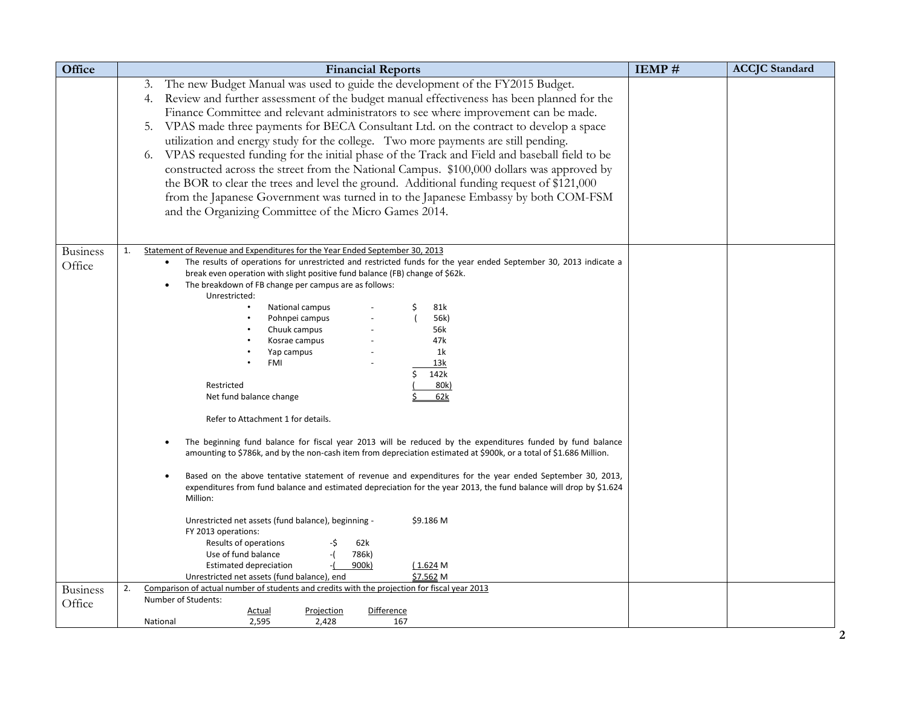| Office                    | <b>Financial Reports</b>                                                                                                                                                                                                                                                                                                                                                                                                                                                                                                                                                                                                                                                                                                                                                                                                                                                                                                                                                                                                                                                                                                                                                                                                                                                                                                     | IEMP# | <b>ACCJC</b> Standard |
|---------------------------|------------------------------------------------------------------------------------------------------------------------------------------------------------------------------------------------------------------------------------------------------------------------------------------------------------------------------------------------------------------------------------------------------------------------------------------------------------------------------------------------------------------------------------------------------------------------------------------------------------------------------------------------------------------------------------------------------------------------------------------------------------------------------------------------------------------------------------------------------------------------------------------------------------------------------------------------------------------------------------------------------------------------------------------------------------------------------------------------------------------------------------------------------------------------------------------------------------------------------------------------------------------------------------------------------------------------------|-------|-----------------------|
|                           | The new Budget Manual was used to guide the development of the FY2015 Budget.<br>3.<br>4. Review and further assessment of the budget manual effectiveness has been planned for the<br>Finance Committee and relevant administrators to see where improvement can be made.<br>VPAS made three payments for BECA Consultant Ltd. on the contract to develop a space<br>5.<br>utilization and energy study for the college. Two more payments are still pending.<br>VPAS requested funding for the initial phase of the Track and Field and baseball field to be<br>6.<br>constructed across the street from the National Campus. \$100,000 dollars was approved by<br>the BOR to clear the trees and level the ground. Additional funding request of \$121,000<br>from the Japanese Government was turned in to the Japanese Embassy by both COM-FSM<br>and the Organizing Committee of the Micro Games 2014.                                                                                                                                                                                                                                                                                                                                                                                                                 |       |                       |
| <b>Business</b><br>Office | Statement of Revenue and Expenditures for the Year Ended September 30, 2013<br>1.<br>The results of operations for unrestricted and restricted funds for the year ended September 30, 2013 indicate a<br>break even operation with slight positive fund balance (FB) change of \$62k.<br>The breakdown of FB change per campus are as follows:<br>Unrestricted:<br>National campus<br>81k<br>Pohnpei campus<br>56k)<br>Chuuk campus<br>56k<br>47k<br>Kosrae campus<br>1k<br>Yap campus<br>FMI<br>13k<br>142k<br>Restricted<br>80k)<br>62k<br>Net fund balance change<br>Refer to Attachment 1 for details.<br>The beginning fund balance for fiscal year 2013 will be reduced by the expenditures funded by fund balance<br>amounting to \$786k, and by the non-cash item from depreciation estimated at \$900k, or a total of \$1.686 Million.<br>Based on the above tentative statement of revenue and expenditures for the year ended September 30, 2013,<br>expenditures from fund balance and estimated depreciation for the year 2013, the fund balance will drop by \$1.624<br>Million:<br>\$9.186 M<br>Unrestricted net assets (fund balance), beginning -<br>FY 2013 operations:<br>Results of operations<br>-\$<br>62k<br>786k)<br>Use of fund balance<br>-(<br>900k)<br>(1.624M)<br><b>Estimated depreciation</b> |       |                       |
| <b>Business</b>           | Unrestricted net assets (fund balance), end<br>\$7.562 M<br>Comparison of actual number of students and credits with the projection for fiscal year 2013<br>2.                                                                                                                                                                                                                                                                                                                                                                                                                                                                                                                                                                                                                                                                                                                                                                                                                                                                                                                                                                                                                                                                                                                                                               |       |                       |
| Office                    | Number of Students:<br><b>Difference</b><br><b>Actual</b><br><b>Projection</b><br>2,595<br>National<br>2,428<br>167                                                                                                                                                                                                                                                                                                                                                                                                                                                                                                                                                                                                                                                                                                                                                                                                                                                                                                                                                                                                                                                                                                                                                                                                          |       |                       |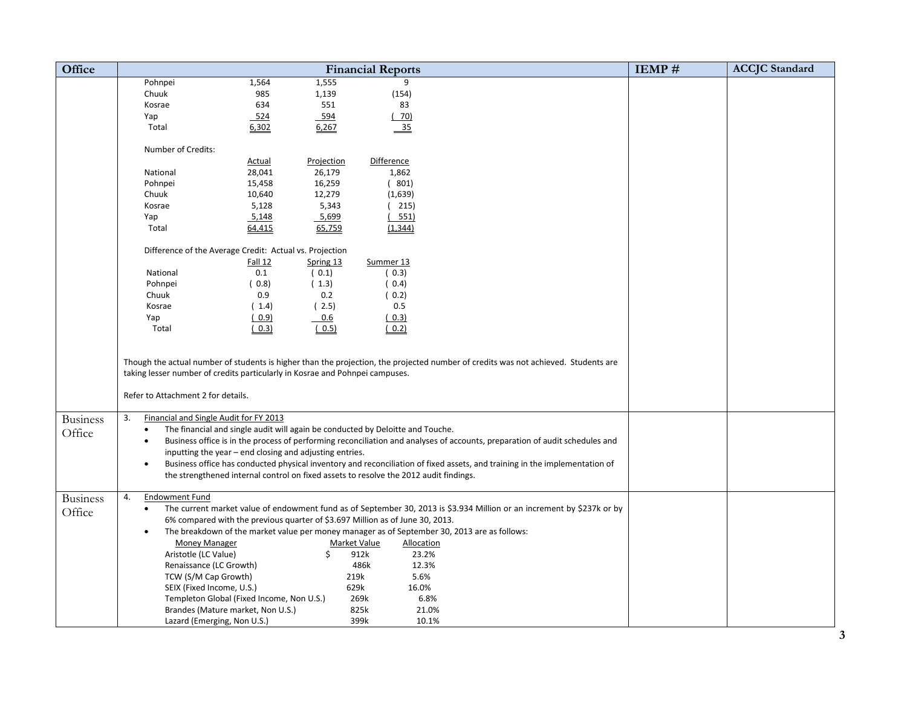| <b>Office</b>   |                                                                                                                    |                                                                                       |                  | <b>Financial Reports</b> |                                                                                                                                    | IEMP# | <b>ACCJC</b> Standard |
|-----------------|--------------------------------------------------------------------------------------------------------------------|---------------------------------------------------------------------------------------|------------------|--------------------------|------------------------------------------------------------------------------------------------------------------------------------|-------|-----------------------|
|                 | Pohnpei                                                                                                            | 1,564                                                                                 | 1,555            | 9                        |                                                                                                                                    |       |                       |
|                 | Chuuk                                                                                                              | 985                                                                                   | 1,139            | (154)                    |                                                                                                                                    |       |                       |
|                 | Kosrae                                                                                                             | 634                                                                                   | 551              | 83                       |                                                                                                                                    |       |                       |
|                 | Yap                                                                                                                | 524                                                                                   | 594              | (70)                     |                                                                                                                                    |       |                       |
|                 | Total                                                                                                              | 6,302                                                                                 | 6,267            | $-35$                    |                                                                                                                                    |       |                       |
|                 |                                                                                                                    |                                                                                       |                  |                          |                                                                                                                                    |       |                       |
|                 | Number of Credits:                                                                                                 |                                                                                       |                  |                          |                                                                                                                                    |       |                       |
|                 |                                                                                                                    | Actual                                                                                | Projection       | Difference               |                                                                                                                                    |       |                       |
|                 | National                                                                                                           | 28,041<br>15,458                                                                      | 26,179<br>16,259 | 1,862<br>(801)           |                                                                                                                                    |       |                       |
|                 | Pohnpei<br>Chuuk                                                                                                   | 10,640                                                                                | 12,279           | (1,639)                  |                                                                                                                                    |       |                       |
|                 | Kosrae                                                                                                             | 5,128                                                                                 | 5,343            | 215)                     |                                                                                                                                    |       |                       |
|                 | Yap                                                                                                                | 5,148                                                                                 | 5,699            | 551)                     |                                                                                                                                    |       |                       |
|                 | Total                                                                                                              | 64,415                                                                                | 65,759           | (1, 344)                 |                                                                                                                                    |       |                       |
|                 |                                                                                                                    |                                                                                       |                  |                          |                                                                                                                                    |       |                       |
|                 | Difference of the Average Credit: Actual vs. Projection                                                            |                                                                                       |                  |                          |                                                                                                                                    |       |                       |
|                 |                                                                                                                    | <b>Fall 12</b>                                                                        | Spring 13        | Summer 13                |                                                                                                                                    |       |                       |
|                 | National                                                                                                           | 0.1                                                                                   | (0.1)            | (0.3)                    |                                                                                                                                    |       |                       |
|                 | Pohnpei                                                                                                            | (0.8)                                                                                 | (1.3)            | (0.4)                    |                                                                                                                                    |       |                       |
|                 | Chuuk                                                                                                              | 0.9                                                                                   | 0.2              | (0.2)                    |                                                                                                                                    |       |                       |
|                 | Kosrae                                                                                                             | (1.4)                                                                                 | (2.5)            | 0.5                      |                                                                                                                                    |       |                       |
|                 | Yap                                                                                                                | (0.9)                                                                                 | 0.6              | (0.3)                    |                                                                                                                                    |       |                       |
|                 | Total                                                                                                              | (0.3)                                                                                 | (0.5)            | (0.2)                    |                                                                                                                                    |       |                       |
|                 | taking lesser number of credits particularly in Kosrae and Pohnpei campuses.<br>Refer to Attachment 2 for details. |                                                                                       |                  |                          | Though the actual number of students is higher than the projection, the projected number of credits was not achieved. Students are |       |                       |
| <b>Business</b> | 3.<br>Financial and Single Audit for FY 2013                                                                       |                                                                                       |                  |                          |                                                                                                                                    |       |                       |
| Office          | $\bullet$                                                                                                          | The financial and single audit will again be conducted by Deloitte and Touche.        |                  |                          |                                                                                                                                    |       |                       |
|                 | $\bullet$                                                                                                          | inputting the year - end closing and adjusting entries.                               |                  |                          | Business office is in the process of performing reconciliation and analyses of accounts, preparation of audit schedules and        |       |                       |
|                 | $\bullet$                                                                                                          |                                                                                       |                  |                          | Business office has conducted physical inventory and reconciliation of fixed assets, and training in the implementation of         |       |                       |
|                 |                                                                                                                    | the strengthened internal control on fixed assets to resolve the 2012 audit findings. |                  |                          |                                                                                                                                    |       |                       |
|                 |                                                                                                                    |                                                                                       |                  |                          |                                                                                                                                    |       |                       |
| <b>Business</b> | 4.<br><b>Endowment Fund</b>                                                                                        |                                                                                       |                  |                          |                                                                                                                                    |       |                       |
| Office          | $\bullet$                                                                                                          |                                                                                       |                  |                          | The current market value of endowment fund as of September 30, 2013 is \$3.934 Million or an increment by \$237k or by             |       |                       |
|                 |                                                                                                                    | 6% compared with the previous quarter of \$3.697 Million as of June 30, 2013.         |                  |                          |                                                                                                                                    |       |                       |
|                 | $\bullet$                                                                                                          |                                                                                       |                  |                          | The breakdown of the market value per money manager as of September 30, 2013 are as follows:                                       |       |                       |
|                 | <b>Money Manager</b>                                                                                               |                                                                                       | Market Value     | Allocation               |                                                                                                                                    |       |                       |
|                 | Aristotle (LC Value)                                                                                               |                                                                                       | Ś.               | 912k                     | 23.2%                                                                                                                              |       |                       |
|                 | Renaissance (LC Growth)                                                                                            |                                                                                       |                  | 486k                     | 12.3%                                                                                                                              |       |                       |
|                 | TCW (S/M Cap Growth)                                                                                               |                                                                                       | 219k             |                          | 5.6%                                                                                                                               |       |                       |
|                 | SEIX (Fixed Income, U.S.)                                                                                          | Templeton Global (Fixed Income, Non U.S.)                                             | 629k             | 16.0%<br>269k            | 6.8%                                                                                                                               |       |                       |
|                 |                                                                                                                    | Brandes (Mature market, Non U.S.)                                                     |                  | 825k                     | 21.0%                                                                                                                              |       |                       |
|                 | Lazard (Emerging, Non U.S.)                                                                                        |                                                                                       |                  | 399k                     | 10.1%                                                                                                                              |       |                       |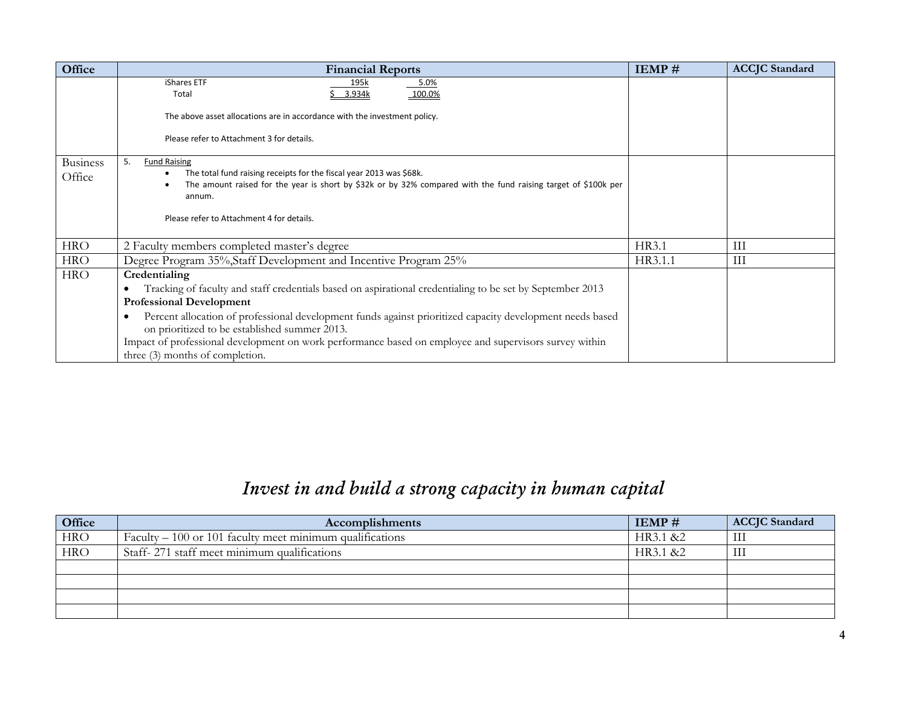| Office                    | <b>Financial Reports</b>                                                                                                                                   | <b>IEMP#</b> | <b>ACCJC</b> Standard |
|---------------------------|------------------------------------------------------------------------------------------------------------------------------------------------------------|--------------|-----------------------|
|                           | iShares ETF<br>5.0%<br>195k<br>3.934k<br>100.0%<br>Total                                                                                                   |              |                       |
|                           | The above asset allocations are in accordance with the investment policy.                                                                                  |              |                       |
|                           | Please refer to Attachment 3 for details.                                                                                                                  |              |                       |
| <b>Business</b><br>Office | <b>Fund Raising</b><br>5.<br>The total fund raising receipts for the fiscal year 2013 was \$68k.                                                           |              |                       |
|                           | The amount raised for the year is short by \$32k or by 32% compared with the fund raising target of \$100k per<br>annum.                                   |              |                       |
|                           | Please refer to Attachment 4 for details.                                                                                                                  |              |                       |
| <b>HRO</b>                | 2 Faculty members completed master's degree                                                                                                                | HR3.1        | Ш                     |
| <b>HRO</b>                | Degree Program 35%, Staff Development and Incentive Program 25%                                                                                            | HR3.1.1      | Ш                     |
| <b>HRO</b>                | Credentialing                                                                                                                                              |              |                       |
|                           | Tracking of faculty and staff credentials based on aspirational credentialing to be set by September 2013<br><b>Professional Development</b>               |              |                       |
|                           | Percent allocation of professional development funds against prioritized capacity development needs based<br>on prioritized to be established summer 2013. |              |                       |
|                           | Impact of professional development on work performance based on employee and supervisors survey within<br>three (3) months of completion.                  |              |                       |

# *Invest in and build a strong capacity in human capital*

| Office     | Accomplishments                                                   | $IEMP \#$ | <b>ACCJC</b> Standard |
|------------|-------------------------------------------------------------------|-----------|-----------------------|
| <b>HRO</b> | $\text{Faculty} - 100$ or 101 faculty meet minimum qualifications | HR3.1 &2  | Ш                     |
| <b>HRO</b> | Staff-271 staff meet minimum qualifications                       | HR3.1 &2  | Ш                     |
|            |                                                                   |           |                       |
|            |                                                                   |           |                       |
|            |                                                                   |           |                       |
|            |                                                                   |           |                       |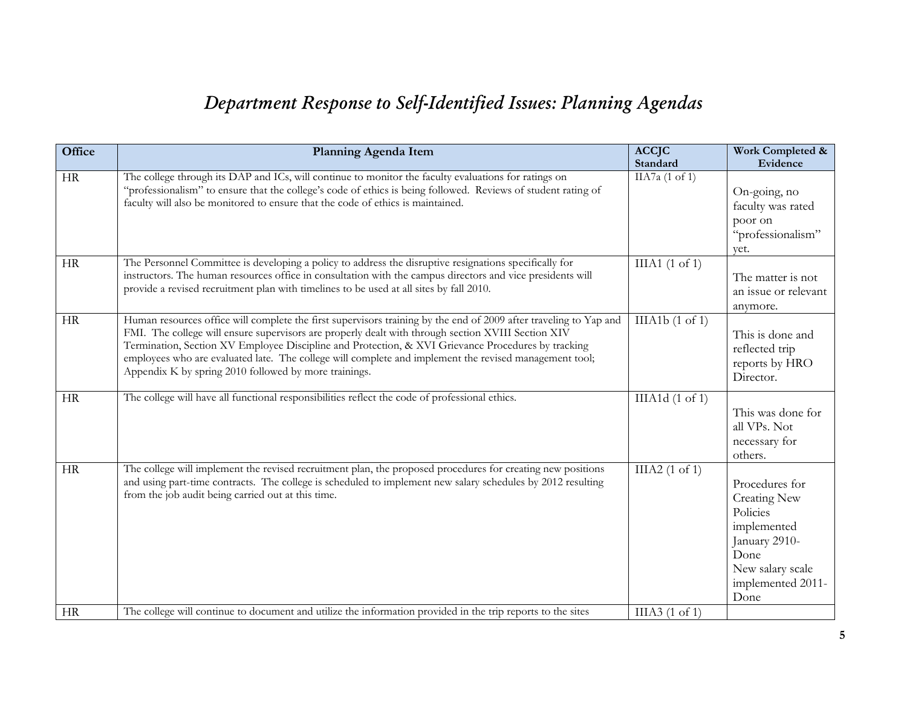# *Department Response to Self-Identified Issues: Planning Agendas*

| Office    | Planning Agenda Item                                                                                                                                                                                                                                                                                                                                                                                                                                                                             | <b>ACCJC</b><br>Standard   | Work Completed &<br>Evidence                                                                                                               |
|-----------|--------------------------------------------------------------------------------------------------------------------------------------------------------------------------------------------------------------------------------------------------------------------------------------------------------------------------------------------------------------------------------------------------------------------------------------------------------------------------------------------------|----------------------------|--------------------------------------------------------------------------------------------------------------------------------------------|
| HR        | The college through its DAP and ICs, will continue to monitor the faculty evaluations for ratings on<br>"professionalism" to ensure that the college's code of ethics is being followed. Reviews of student rating of<br>faculty will also be monitored to ensure that the code of ethics is maintained.                                                                                                                                                                                         | IIA7a $(1 \text{ of } 1)$  | On-going, no<br>faculty was rated<br>poor on<br>"professionalism"<br>vet.                                                                  |
| HR        | The Personnel Committee is developing a policy to address the disruptive resignations specifically for<br>instructors. The human resources office in consultation with the campus directors and vice presidents will<br>provide a revised recruitment plan with timelines to be used at all sites by fall 2010.                                                                                                                                                                                  | $IIIA1$ (1 of 1)           | The matter is not<br>an issue or relevant<br>anymore.                                                                                      |
| HR        | Human resources office will complete the first supervisors training by the end of 2009 after traveling to Yap and<br>FMI. The college will ensure supervisors are properly dealt with through section XVIII Section XIV<br>Termination, Section XV Employee Discipline and Protection, & XVI Grievance Procedures by tracking<br>employees who are evaluated late. The college will complete and implement the revised management tool;<br>Appendix K by spring 2010 followed by more trainings. | IIIA1b(1 of 1)             | This is done and<br>reflected trip<br>reports by HRO<br>Director.                                                                          |
| HR        | The college will have all functional responsibilities reflect the code of professional ethics.                                                                                                                                                                                                                                                                                                                                                                                                   | IIIA1 $d(1 \text{ of } 1)$ | This was done for<br>all VPs. Not<br>necessary for<br>others.                                                                              |
| HR        | The college will implement the revised recruitment plan, the proposed procedures for creating new positions<br>and using part-time contracts. The college is scheduled to implement new salary schedules by 2012 resulting<br>from the job audit being carried out at this time.                                                                                                                                                                                                                 | IIIA2 $(1 \text{ of } 1)$  | Procedures for<br><b>Creating New</b><br>Policies<br>implemented<br>January 2910-<br>Done<br>New salary scale<br>implemented 2011-<br>Done |
| <b>HR</b> | The college will continue to document and utilize the information provided in the trip reports to the sites                                                                                                                                                                                                                                                                                                                                                                                      | IIIA3 $(1 \text{ of } 1)$  |                                                                                                                                            |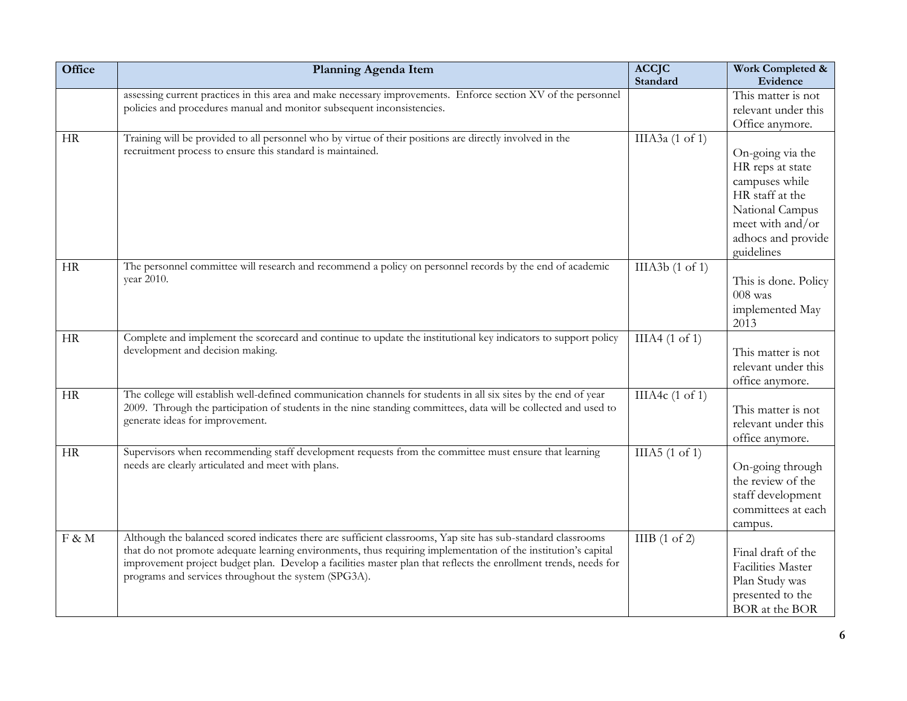| Office   | Planning Agenda Item                                                                                                                                                                                                                                                                                                                                                                                       | <b>ACCJC</b><br>Standard   | Work Completed &<br>Evidence                                                                                                                         |
|----------|------------------------------------------------------------------------------------------------------------------------------------------------------------------------------------------------------------------------------------------------------------------------------------------------------------------------------------------------------------------------------------------------------------|----------------------------|------------------------------------------------------------------------------------------------------------------------------------------------------|
|          | assessing current practices in this area and make necessary improvements. Enforce section XV of the personnel<br>policies and procedures manual and monitor subsequent inconsistencies.                                                                                                                                                                                                                    |                            | This matter is not<br>relevant under this<br>Office anymore.                                                                                         |
| HR       | Training will be provided to all personnel who by virtue of their positions are directly involved in the<br>recruitment process to ensure this standard is maintained.                                                                                                                                                                                                                                     | IIIA3a $(1 \text{ of } 1)$ | On-going via the<br>HR reps at state<br>campuses while<br>HR staff at the<br>National Campus<br>meet with and/or<br>adhocs and provide<br>guidelines |
| HR       | The personnel committee will research and recommend a policy on personnel records by the end of academic<br>year 2010.                                                                                                                                                                                                                                                                                     | IIIA3b(1 of 1)             | This is done. Policy<br>$008$ was<br>implemented May<br>2013                                                                                         |
| HR       | Complete and implement the scorecard and continue to update the institutional key indicators to support policy<br>development and decision making.                                                                                                                                                                                                                                                         | IIIA4(1 of 1)              | This matter is not<br>relevant under this<br>office anymore.                                                                                         |
| HR       | The college will establish well-defined communication channels for students in all six sites by the end of year<br>2009. Through the participation of students in the nine standing committees, data will be collected and used to<br>generate ideas for improvement.                                                                                                                                      | IIIA4 $c(1 \text{ of } 1)$ | This matter is not<br>relevant under this<br>office anymore.                                                                                         |
| HR       | Supervisors when recommending staff development requests from the committee must ensure that learning<br>needs are clearly articulated and meet with plans.                                                                                                                                                                                                                                                | IIIA5 $(1 \text{ of } 1)$  | On-going through<br>the review of the<br>staff development<br>committees at each<br>campus.                                                          |
| $F \& M$ | Although the balanced scored indicates there are sufficient classrooms, Yap site has sub-standard classrooms<br>that do not promote adequate learning environments, thus requiring implementation of the institution's capital<br>improvement project budget plan. Develop a facilities master plan that reflects the enrollment trends, needs for<br>programs and services throughout the system (SPG3A). | IIIB $(1 \text{ of } 2)$   | Final draft of the<br>Facilities Master<br>Plan Study was<br>presented to the<br>BOR at the BOR                                                      |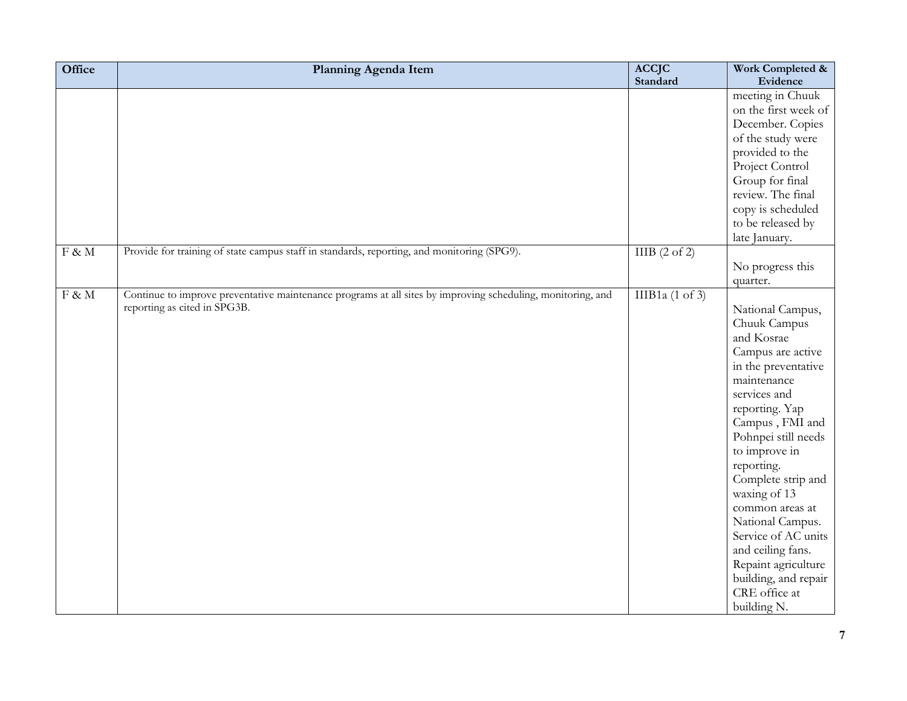| <b>Office</b>       | Planning Agenda Item                                                                                        | <b>ACCJC</b>               | Work Completed &                         |
|---------------------|-------------------------------------------------------------------------------------------------------------|----------------------------|------------------------------------------|
|                     |                                                                                                             | Standard                   | Evidence                                 |
|                     |                                                                                                             |                            | meeting in Chuuk<br>on the first week of |
|                     |                                                                                                             |                            | December. Copies                         |
|                     |                                                                                                             |                            | of the study were                        |
|                     |                                                                                                             |                            | provided to the                          |
|                     |                                                                                                             |                            | Project Control                          |
|                     |                                                                                                             |                            | Group for final                          |
|                     |                                                                                                             |                            | review. The final                        |
|                     |                                                                                                             |                            | copy is scheduled                        |
|                     |                                                                                                             |                            | to be released by                        |
|                     |                                                                                                             |                            | late January.                            |
| F & M               | Provide for training of state campus staff in standards, reporting, and monitoring (SPG9).                  | IIIB(2 of 2)               |                                          |
|                     |                                                                                                             |                            | No progress this                         |
|                     |                                                                                                             |                            | quarter.                                 |
| $\rm{F} \, \& \, M$ | Continue to improve preventative maintenance programs at all sites by improving scheduling, monitoring, and | IIIB1a $(1 \text{ of } 3)$ |                                          |
|                     | reporting as cited in SPG3B.                                                                                |                            | National Campus,                         |
|                     |                                                                                                             |                            | Chuuk Campus                             |
|                     |                                                                                                             |                            | and Kosrae                               |
|                     |                                                                                                             |                            | Campus are active                        |
|                     |                                                                                                             |                            | in the preventative                      |
|                     |                                                                                                             |                            | maintenance                              |
|                     |                                                                                                             |                            | services and                             |
|                     |                                                                                                             |                            | reporting. Yap                           |
|                     |                                                                                                             |                            | Campus, FMI and                          |
|                     |                                                                                                             |                            | Pohnpei still needs                      |
|                     |                                                                                                             |                            | to improve in                            |
|                     |                                                                                                             |                            | reporting.                               |
|                     |                                                                                                             |                            | Complete strip and<br>waxing of 13       |
|                     |                                                                                                             |                            | common areas at                          |
|                     |                                                                                                             |                            | National Campus.                         |
|                     |                                                                                                             |                            | Service of AC units                      |
|                     |                                                                                                             |                            | and ceiling fans.                        |
|                     |                                                                                                             |                            | Repaint agriculture                      |
|                     |                                                                                                             |                            | building, and repair                     |
|                     |                                                                                                             |                            | CRE office at                            |
|                     |                                                                                                             |                            | building N.                              |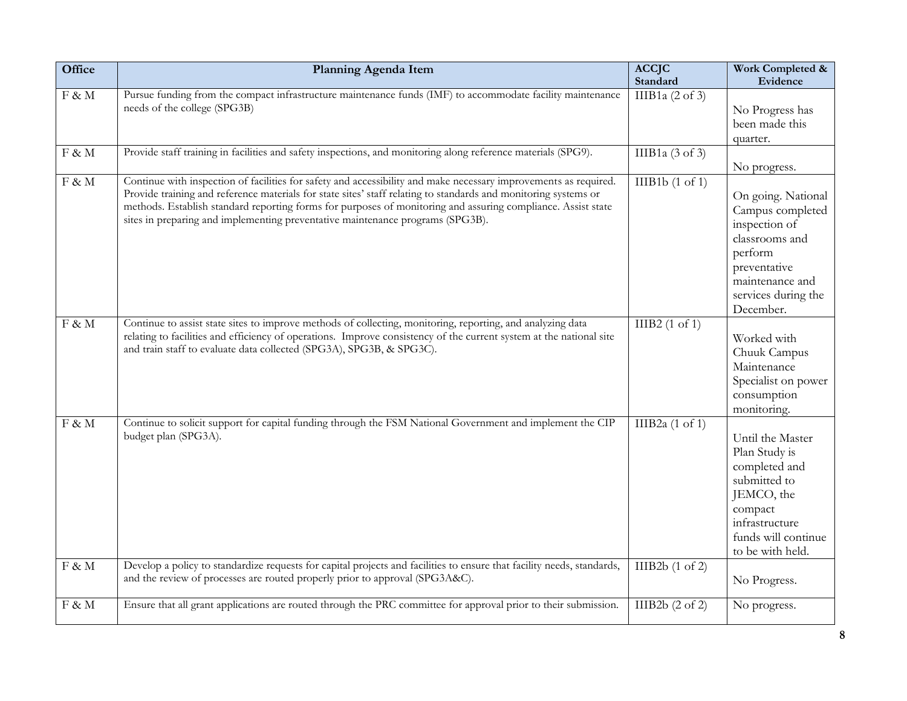| Office   | Planning Agenda Item                                                                                                                                                                                                                                                                                                                                                                                                                  | <b>ACCJC</b><br>Standard   | Work Completed &<br>Evidence                                                                                                                                |
|----------|---------------------------------------------------------------------------------------------------------------------------------------------------------------------------------------------------------------------------------------------------------------------------------------------------------------------------------------------------------------------------------------------------------------------------------------|----------------------------|-------------------------------------------------------------------------------------------------------------------------------------------------------------|
| $F \& M$ | Pursue funding from the compact infrastructure maintenance funds (IMF) to accommodate facility maintenance<br>needs of the college (SPG3B)                                                                                                                                                                                                                                                                                            | IIIB1a $(2 \text{ of } 3)$ | No Progress has<br>been made this<br>quarter.                                                                                                               |
| $F \& M$ | Provide staff training in facilities and safety inspections, and monitoring along reference materials (SPG9).                                                                                                                                                                                                                                                                                                                         | IIIB1a $(3 \text{ of } 3)$ | No progress.                                                                                                                                                |
| $F \& M$ | Continue with inspection of facilities for safety and accessibility and make necessary improvements as required.<br>Provide training and reference materials for state sites' staff relating to standards and monitoring systems or<br>methods. Establish standard reporting forms for purposes of monitoring and assuring compliance. Assist state<br>sites in preparing and implementing preventative maintenance programs (SPG3B). | IIIB1b(1 of 1)             | On going. National<br>Campus completed<br>inspection of<br>classrooms and<br>perform<br>preventative<br>maintenance and<br>services during the<br>December. |
| $F \& M$ | Continue to assist state sites to improve methods of collecting, monitoring, reporting, and analyzing data<br>relating to facilities and efficiency of operations. Improve consistency of the current system at the national site<br>and train staff to evaluate data collected (SPG3A), SPG3B, & SPG3C).                                                                                                                             | IIIB2 $(1 \text{ of } 1)$  | Worked with<br>Chuuk Campus<br>Maintenance<br>Specialist on power<br>consumption<br>monitoring.                                                             |
| $F \& M$ | Continue to solicit support for capital funding through the FSM National Government and implement the CIP<br>budget plan (SPG3A).                                                                                                                                                                                                                                                                                                     | IIIB2a $(1 \text{ of } 1)$ | Until the Master<br>Plan Study is<br>completed and<br>submitted to<br>JEMCO, the<br>compact<br>infrastructure<br>funds will continue<br>to be with held.    |
| $F \& M$ | Develop a policy to standardize requests for capital projects and facilities to ensure that facility needs, standards,<br>and the review of processes are routed properly prior to approval (SPG3A&C).                                                                                                                                                                                                                                | IIIB2b(1 of 2)             | No Progress.                                                                                                                                                |
| $F \& M$ | Ensure that all grant applications are routed through the PRC committee for approval prior to their submission.                                                                                                                                                                                                                                                                                                                       | IIIB2b $(2 \text{ of } 2)$ | No progress.                                                                                                                                                |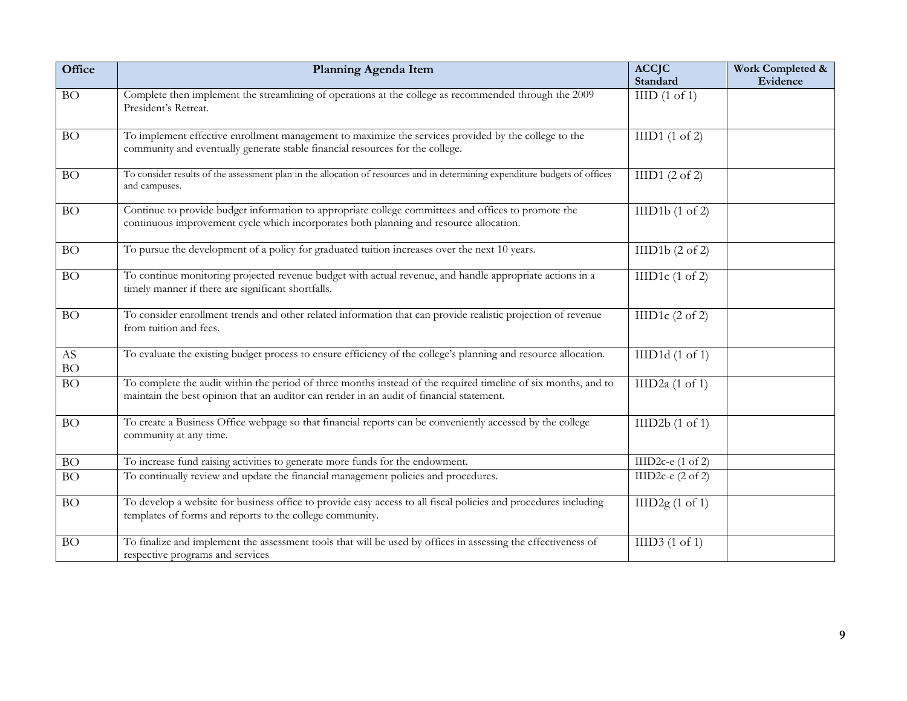| Office                              | Planning Agenda Item                                                                                                                                                                                       | <b>ACCJC</b>                 | Work Completed & |
|-------------------------------------|------------------------------------------------------------------------------------------------------------------------------------------------------------------------------------------------------------|------------------------------|------------------|
|                                     |                                                                                                                                                                                                            | Standard                     | Evidence         |
| BO                                  | Complete then implement the streamlining of operations at the college as recommended through the 2009<br>President's Retreat.                                                                              | HID(1 of 1)                  |                  |
| <b>BO</b>                           | To implement effective enrollment management to maximize the services provided by the college to the<br>community and eventually generate stable financial resources for the college.                      | IIID1(1 of 2)                |                  |
| BO                                  | To consider results of the assessment plan in the allocation of resources and in determining expenditure budgets of offices<br>and campuses.                                                               | IIID1 $(2 \text{ of } 2)$    |                  |
| <b>BO</b>                           | Continue to provide budget information to appropriate college committees and offices to promote the<br>continuous improvement cycle which incorporates both planning and resource allocation.              | IIID1b(1 of 2)               |                  |
| <b>BO</b>                           | To pursue the development of a policy for graduated tuition increases over the next 10 years.                                                                                                              | IIID1b(2 of 2)               |                  |
| <b>BO</b>                           | To continue monitoring projected revenue budget with actual revenue, and handle appropriate actions in a<br>timely manner if there are significant shortfalls.                                             | IIID1 $c(1 \text{ of } 2)$   |                  |
| <b>BO</b>                           | To consider enrollment trends and other related information that can provide realistic projection of revenue<br>from tuition and fees.                                                                     | IIID1 $c(2 \text{ of } 2)$   |                  |
| $\mathbf{A}\mathbf{S}$<br><b>BO</b> | To evaluate the existing budget process to ensure efficiency of the college's planning and resource allocation.                                                                                            | IIID1d(1 of 1)               |                  |
| <b>BO</b>                           | To complete the audit within the period of three months instead of the required timeline of six months, and to<br>maintain the best opinion that an auditor can render in an audit of financial statement. | IIID2a $(1 \text{ of } 1)$   |                  |
| <b>BO</b>                           | To create a Business Office webpage so that financial reports can be conveniently accessed by the college<br>community at any time.                                                                        | IIID2b(1 of 1)               |                  |
| BO                                  | To increase fund raising activities to generate more funds for the endowment.                                                                                                                              | IIID2c-e $(1 \text{ of } 2)$ |                  |
| <b>BO</b>                           | To continually review and update the financial management policies and procedures.                                                                                                                         | IIID2c-e $(2 \text{ of } 2)$ |                  |
| <b>BO</b>                           | To develop a website for business office to provide easy access to all fiscal policies and procedures including<br>templates of forms and reports to the college community.                                | IIID2g(1 of 1)               |                  |
| <b>BO</b>                           | To finalize and implement the assessment tools that will be used by offices in assessing the effectiveness of<br>respective programs and services                                                          | IIID3(1 of 1)                |                  |